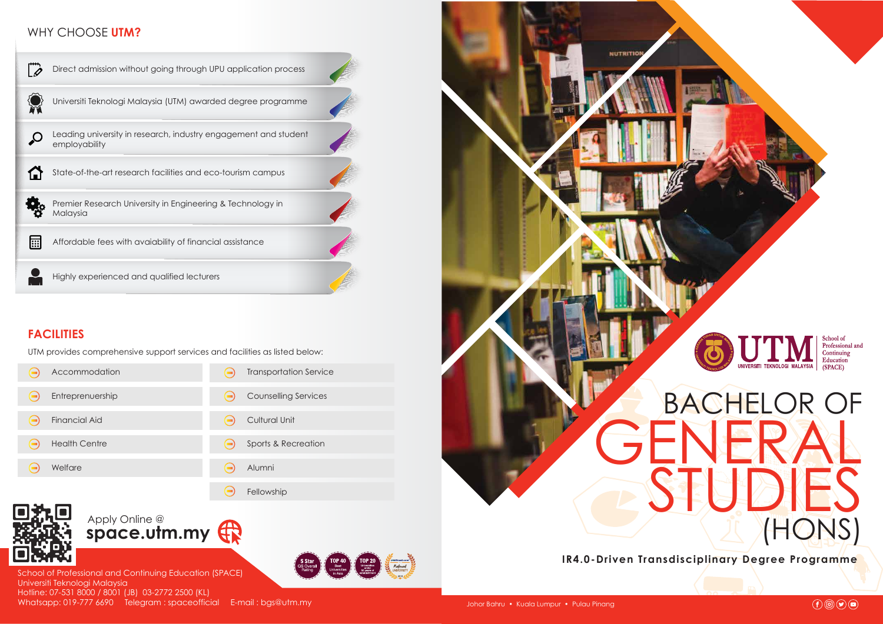

**IR4.0-Driven Transdisciplinary Degree Programme**



# WHY CHOOSE **UTM?**

School of Professional and Continuing Education (SPACE) Universiti Teknologi Malaysia Hotline: 07-531 8000 / 8001 (JB) 03-2772 2500 (KL) Whatsapp: 019-777 6690 Telegram : spaceofficial E-mail : bgs@utm.my



# **FACILITIES**



UTM provides comprehensive support services and facilities as listed below:

| Accommodation        | <b>Transportation Service</b> |
|----------------------|-------------------------------|
| Entreprenuership     | <b>Counselling Services</b>   |
| <b>Financial Aid</b> | <b>Cultural Unit</b>          |
| <b>Health Centre</b> | Sports & Recreation           |
| Welfare              | Alumni                        |
|                      | Fellowship                    |
|                      |                               |